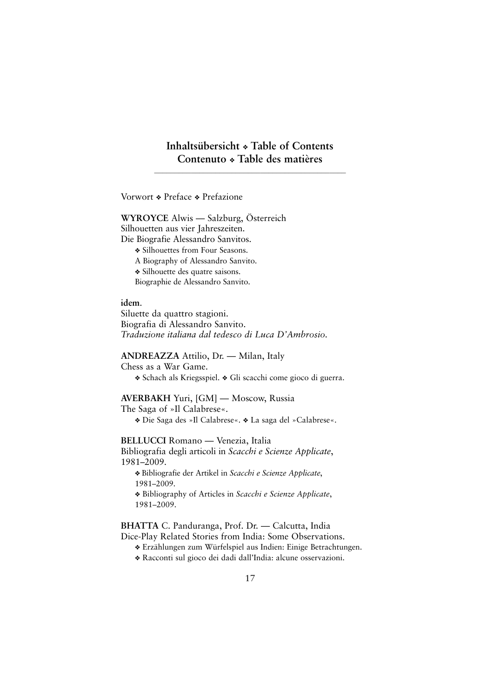# **Inhaltsübersicht** ❖ **Table of Contents Contenuto** ❖ **Table des matières**

**———————————————————————————————————————————————**

Vorwort ❖ Preface ❖ Prefazione

**WYROYCE** Alwis — Salzburg, Österreich Silhouetten aus vier Jahreszeiten. Die Biografie Alessandro Sanvitos. ❖ Silhouettes from Four Seasons. A Biography of Alessandro Sanvito. ❖ Silhouette des quatre saisons. Biographie de Alessandro Sanvito.

**idem**.

Siluette da quattro stagioni. Biografia di Alessandro Sanvito. *Traduzione italiana dal tedesco di Luca D'Ambrosio.* 

**ANDREAZZA** Attilio, Dr. — Milan, Italy

Chess as a War Game.

❖ Schach als Kriegsspiel. ❖ Gli scacchi come gioco di guerra.

# **AVERBAKH** Yuri, [GM] — Moscow, Russia

The Saga of »Il Calabrese«.

❖ Die Saga des »Il Calabrese«. ❖ La saga del »Calabrese«.

**BELLUCCI** Romano — Venezia, Italia

Bibliografia degli articoli in *Scacchi e Scienze Applicate*, 1981–2009.

❖ Bibliografie der Artikel in *Scacchi e Scienze Applicate*, 1981–2009.

❖ Bibliography of Articles in *Scacchi e Scienze Applicate*, 1981–2009.

**BHATTA** C. Panduranga, Prof. Dr. — Calcutta, India Dice-Play Related Stories from India: Some Observations.

❖ Erzählungen zum Würfelspiel aus Indien: Einige Betrachtungen.

❖ Racconti sul gioco dei dadi dall'India: alcune osservazioni.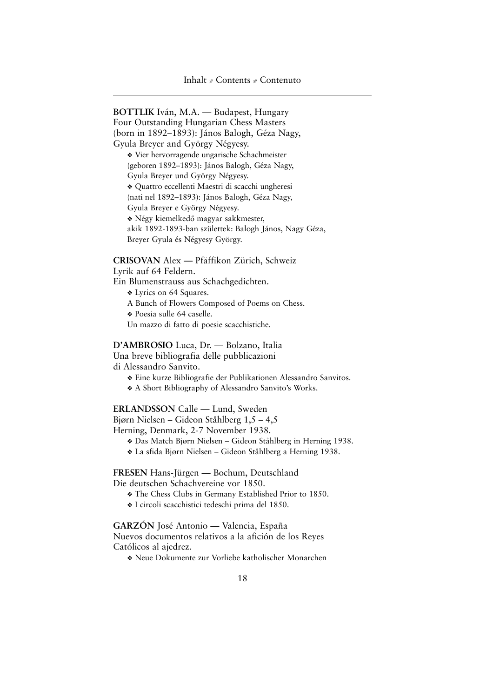**BOTTLIK** Iván, M.A. — Budapest, Hungary Four Outstanding Hungarian Chess Masters (born in 1892–1893): János Balogh, Géza Nagy, Gyula Breyer and György Négyesy. ❖ Vier hervorragende ungarische Schachmeister (geboren 1892–1893): János Balogh, Géza Nagy, Gyula Breyer und György Négyesy. ❖ Quattro eccellenti Maestri di scacchi ungheresi (nati nel 1892–1893): János Balogh, Géza Nagy, Gyula Breyer e György Négyesy. ❖ Négy kiemelkedő magyar sakkmester, akik 1892-1893-ban születtek: Balogh János, Nagy Géza, Breyer Gyula és Négyesy György.

### **CRISOVAN** Alex — Pfäffikon Zürich, Schweiz

Lyrik auf 64 Feldern.

Ein Blumenstrauss aus Schachgedichten.

- ❖ Lyrics on 64 Squares.
- A Bunch of Flowers Composed of Poems on Chess.
- ❖ Poesia sulle 64 caselle.
- Un mazzo di fatto di poesie scacchistiche.

**D'AMBROSIO** Luca, Dr. — Bolzano, Italia Una breve bibliografia delle pubblicazioni di Alessandro Sanvito.

❖ Eine kurze Bibliografie der Publikationen Alessandro Sanvitos.

❖ A Short Bibliography of Alessandro Sanvito's Works.

**ERLANDSSON** Calle — Lund, Sweden

Bjørn Nielsen – Gideon Ståhlberg 1,5 – 4,5

Herning, Denmark, 2-7 November 1938.

- ❖ Das Match Bjørn Nielsen Gideon Ståhlberg in Herning 1938.
- ❖ La sfida Bjørn Nielsen Gideon Ståhlberg a Herning 1938.

**FRESEN** Hans-Jürgen — Bochum, Deutschland Die deutschen Schachvereine vor 1850.

- ❖ The Chess Clubs in Germany Established Prior to 1850.
- ❖ I circoli scacchistici tedeschi prima del 1850.

**GARZÓN** José Antonio — Valencia, España

Nuevos documentos relativos a la afición de los Reyes Católicos al ajedrez.

❖ Neue Dokumente zur Vorliebe katholischer Monarchen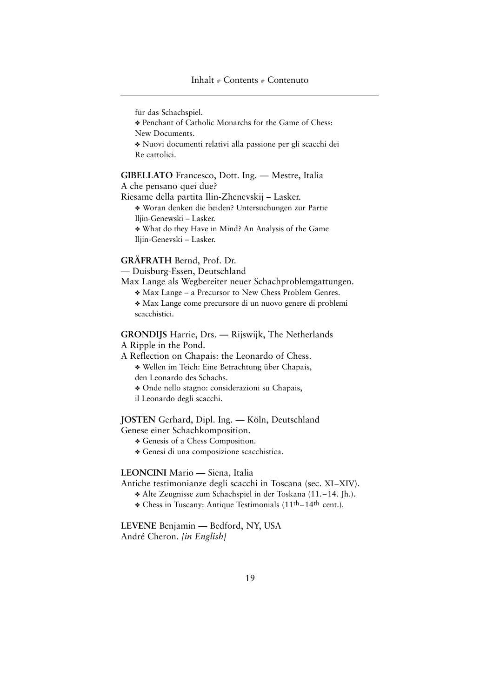# Inhalt  $\sqrt{\ }$  Contents  $\sqrt{\ }$  Contenuto

für das Schachspiel.

❖ Penchant of Catholic Monarchs for the Game of Chess: New Documents.

❖ Nuovi documenti relativi alla passione per gli scacchi dei Re cattolici.

**GIBELLATO** Francesco, Dott. Ing. — Mestre, Italia A che pensano quei due?

Riesame della partita Ilin-Zhenevskij – Lasker. ❖ Woran denken die beiden? Untersuchungen zur Partie Iljin-Genewski – Lasker. ❖ What do they Have in Mind? An Analysis of the Game

Iljin-Genevski – Lasker.

# **GRÄFRATH** Bernd, Prof. Dr.

— Duisburg-Essen, Deutschland

Max Lange als Wegbereiter neuer Schachproblemgattungen.

❖ Max Lange – a Precursor to New Chess Problem Genres.

❖ Max Lange come precursore di un nuovo genere di problemi scacchistici.

**GRONDIJS** Harrie, Drs. — Rijswijk, The Netherlands A Ripple in the Pond.

A Reflection on Chapais: the Leonardo of Chess. ❖ Wellen im Teich: Eine Betrachtung über Chapais,

den Leonardo des Schachs.

❖ Onde nello stagno: considerazioni su Chapais,

il Leonardo degli scacchi.

## **JOSTEN** Gerhard, Dipl. Ing. — Köln, Deutschland Genese einer Schachkomposition.

- ❖ Genesis of a Chess Composition.
- ❖ Genesi di una composizione scacchistica.

#### **LEONCINI** Mario — Siena, Italia

Antiche testimonianze degli scacchi in Toscana (sec. XI–XIV).

- ❖ Alte Zeugnisse zum Schachspiel in der Toskana (11.–14. Jh.).
- ❖ Chess in Tuscany: Antique Testimonials (11th–14th cent.).

**LEVENE** Benjamin — Bedford, NY, USA André Cheron. *[in English]*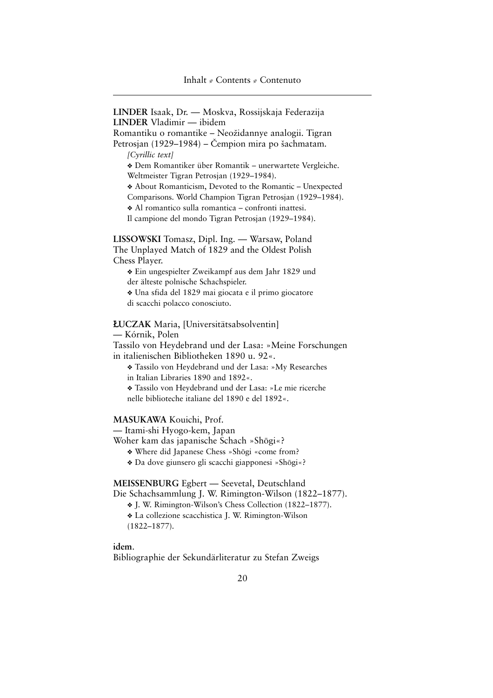**LINDER** Isaak, Dr. — Moskva, Rossijskaja Federazija **LINDER** Vladimir — ibidem Romantiku o romantike – Neožidannye analogii. Tigran Petrosjan (1929–1984) – Čempion mira po šachmatam. *[Cyrillic text]* ❖ Dem Romantiker über Romantik – unerwartete Vergleiche. Weltmeister Tigran Petrosjan (1929–1984). ❖ About Romanticism, Devoted to the Romantic – Unexpected Comparisons. World Champion Tigran Petrosjan (1929–1984). ❖ Al romantico sulla romantica – confronti inattesi. Il campione del mondo Tigran Petrosjan (1929–1984). **LISSOWSKI** Tomasz, Dipl. Ing. — Warsaw, Poland The Unplayed Match of 1829 and the Oldest Polish

Chess Player. ❖ Ein ungespielter Zweikampf aus dem Jahr 1829 und der älteste polnische Schachspieler.

❖ Una sfida del 1829 mai giocata e il primo giocatore di scacchi polacco conosciuto.

Ł**UCZAK** Maria, [Universitätsabsolventin]

— Kórnik, Polen

Tassilo von Heydebrand und der Lasa: »Meine Forschungen in italienischen Bibliotheken 1890 u. 92«.

❖ Tassilo von Heydebrand und der Lasa: »My Researches in Italian Libraries 1890 and 1892«.

❖ Tassilo von Heydebrand und der Lasa: »Le mie ricerche nelle biblioteche italiane del 1890 e del 1892«.

#### **MASUKAWA** Kouichi, Prof.

— Itami-shi Hyogo-kem, Japan

Woher kam das japanische Schach »Shōgi«?

- Where did Japanese Chess »Shōgi «come from?
- ❖ Da dove giunsero gli scacchi giapponesi »Shcgi«?

**MEISSENBURG** Egbert — Seevetal, Deutschland

Die Schachsammlung J. W. Rimington-Wilson (1822–1877).

❖ J. W. Rimington-Wilson's Chess Collection (1822–1877).

❖ La collezione scacchistica J. W. Rimington-Wilson

(1822–1877).

**idem**.

Bibliographie der Sekundärliteratur zu Stefan Zweigs